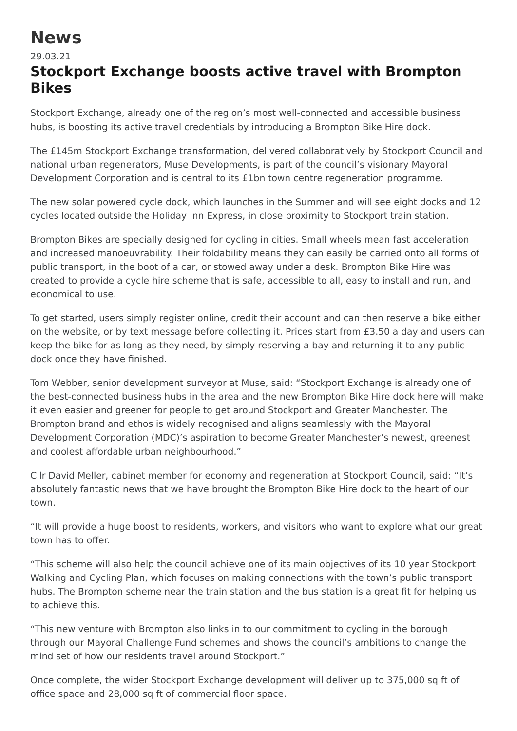## **News**

## 29.03.21 **Stockport Exchange boosts active travel with Brompton Bikes**

Stockport Exchange, already one of the region's most well-connected and accessible business hubs, is boosting its active travel credentials by introducing a Brompton Bike Hire dock.

The £145m Stockport Exchange transformation, delivered collaboratively by Stockport Council and national urban regenerators, Muse Developments, is part of the council's visionary Mayoral Development Corporation and is central to its £1bn town centre regeneration programme.

The new solar powered cycle dock, which launches in the Summer and will see eight docks and 12 cycles located outside the Holiday Inn Express, in close proximity to Stockport train station.

Brompton Bikes are specially designed for cycling in cities. Small wheels mean fast acceleration and increased manoeuvrability. Their foldability means they can easily be carried onto all forms of public transport, in the boot of a car, or stowed away under a desk. Brompton Bike Hire was created to provide a cycle hire scheme that is safe, accessible to all, easy to install and run, and economical to use.

To get started, users simply register online, credit their account and can then reserve a bike either on the website, or by text message before collecting it. Prices start from £3.50 a day and users can keep the bike for as long as they need, by simply reserving a bay and returning it to any public dock once they have finished.

Tom Webber, senior development surveyor at Muse, said: "Stockport Exchange is already one of the best-connected business hubs in the area and the new Brompton Bike Hire dock here will make it even easier and greener for people to get around Stockport and Greater Manchester. The Brompton brand and ethos is widely recognised and aligns seamlessly with the Mayoral Development Corporation (MDC)'s aspiration to become Greater Manchester's newest, greenest and coolest affordable urban neighbourhood."

Cllr David Meller, cabinet member for economy and regeneration at Stockport Council, said: "It's absolutely fantastic news that we have brought the Brompton Bike Hire dock to the heart of our town.

"It will provide a huge boost to residents, workers, and visitors who want to explore what our great town has to offer.

"This scheme will also help the council achieve one of its main objectives of its 10 year Stockport Walking and Cycling Plan, which focuses on making connections with the town's public transport hubs. The Brompton scheme near the train station and the bus station is a great fit for helping us to achieve this.

"This new venture with Brompton also links in to our commitment to cycling in the borough through our Mayoral Challenge Fund schemes and shows the council's ambitions to change the mind set of how our residents travel around Stockport."

Once complete, the wider Stockport Exchange development will deliver up to 375,000 sq ft of office space and 28,000 sq ft of commercial floor space.